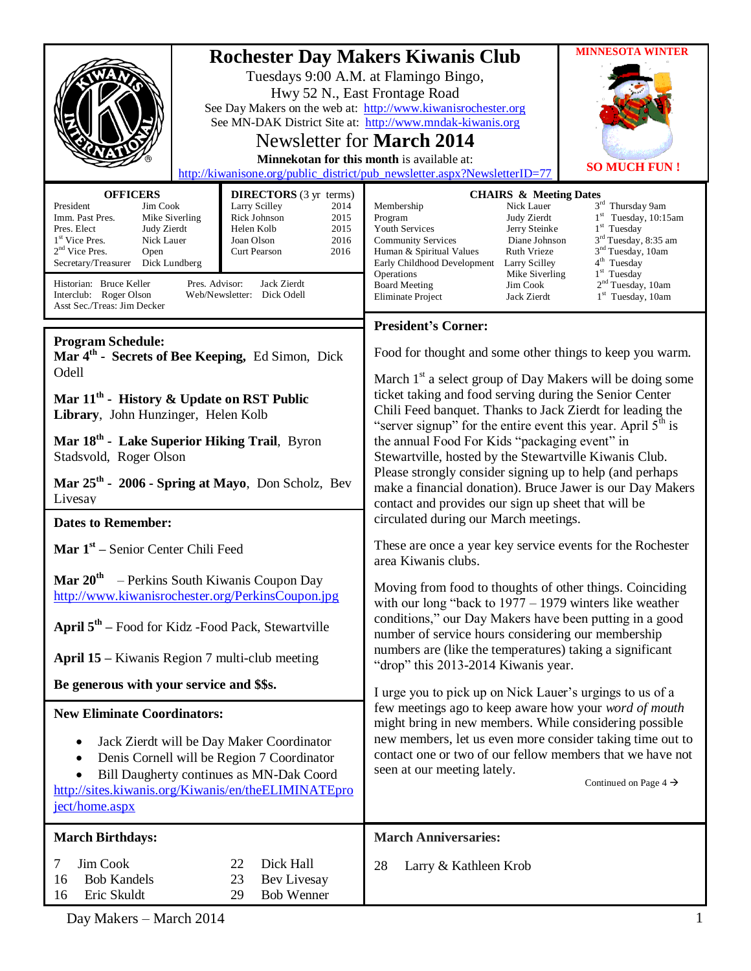| Tuesdays 9:00 A.M. at Flamingo Bingo,<br>Hwy 52 N., East Frontage Road<br>Newsletter for <b>March</b> 2014<br>Minnekotan for this month is available at:<br>http://kiwanisone.org/public_district/pub_newsletter.aspx?NewsletterID=77<br><b>OFFICERS</b><br><b>DIRECTORS</b> (3 yr terms)<br>President<br>Jim Cook<br>Larry Scilley<br>2014<br>Rick Johnson<br>Imm. Past Pres.<br>Mike Siverling<br>2015<br>Helen Kolb<br>2015<br>Pres. Elect<br>Judy Zierdt<br>1 <sup>st</sup> Vice Pres.<br>Nick Lauer<br>2016<br>Joan Olson<br>$2nd$ Vice Pres.<br>2016<br>Curt Pearson<br>Open<br>Secretary/Treasurer<br>Dick Lundberg<br>Pres. Advisor:<br>Historian: Bruce Keller<br>Jack Zierdt<br>Web/Newsletter: Dick Odell<br>Interclub: Roger Olson |                                              | <b>Rochester Day Makers Kiwanis Club</b><br>See Day Makers on the web at: http://www.kiwanisrochester.org<br>See MN-DAK District Site at: http://www.mndak-kiwanis.org<br><b>CHAIRS &amp; Meeting Dates</b><br>Nick Lauer<br>Membership<br>Judy Zierdt<br>Program<br>Youth Services<br>Jerry Steinke<br>Diane Johnson<br><b>Community Services</b><br><b>Ruth Vrieze</b><br>Human & Spiritual Values<br>Early Childhood Development<br>Larry Scilley<br>Operations<br>Mike Siverling<br><b>Board Meeting</b><br>Jim Cook<br><b>Eliminate Project</b><br>Jack Zierdt                                 | <b>MINNESOTA WINTER</b><br><b>SO MUCH FUN!</b><br>3rd Thursday 9am<br>$1st$ Tuesday, 10:15am<br>$1st$ Tuesday<br>3 <sup>rd</sup> Tuesday, 8:35 am<br>3 <sup>nd</sup> Tuesday, 10am<br>4 <sup>th</sup> Tuesday<br>$1st$ Tuesday<br>2 <sup>nd</sup> Tuesday, 10am<br>$1st$ Tuesday, 10am |
|------------------------------------------------------------------------------------------------------------------------------------------------------------------------------------------------------------------------------------------------------------------------------------------------------------------------------------------------------------------------------------------------------------------------------------------------------------------------------------------------------------------------------------------------------------------------------------------------------------------------------------------------------------------------------------------------------------------------------------------------|----------------------------------------------|-----------------------------------------------------------------------------------------------------------------------------------------------------------------------------------------------------------------------------------------------------------------------------------------------------------------------------------------------------------------------------------------------------------------------------------------------------------------------------------------------------------------------------------------------------------------------------------------------------|----------------------------------------------------------------------------------------------------------------------------------------------------------------------------------------------------------------------------------------------------------------------------------------|
| Asst Sec./Treas: Jim Decker<br><b>Program Schedule:</b><br>Mar 4 <sup>th</sup> - Secrets of Bee Keeping, Ed Simon, Dick                                                                                                                                                                                                                                                                                                                                                                                                                                                                                                                                                                                                                        |                                              | <b>President's Corner:</b><br>Food for thought and some other things to keep you warm.                                                                                                                                                                                                                                                                                                                                                                                                                                                                                                              |                                                                                                                                                                                                                                                                                        |
| Odell<br>Mar 11 <sup>th</sup> - History & Update on RST Public<br>Library, John Hunzinger, Helen Kolb<br>Mar 18 <sup>th</sup> - Lake Superior Hiking Trail, Byron<br>Stadsvold, Roger Olson<br>Mar $25th$ - 2006 - Spring at Mayo, Don Scholz, Bev                                                                                                                                                                                                                                                                                                                                                                                                                                                                                             |                                              | March $1st$ a select group of Day Makers will be doing some<br>ticket taking and food serving during the Senior Center<br>Chili Feed banquet. Thanks to Jack Zierdt for leading the<br>"server signup" for the entire event this year. April 5 <sup>th</sup> is<br>the annual Food For Kids "packaging event" in<br>Stewartville, hosted by the Stewartville Kiwanis Club.<br>Please strongly consider signing up to help (and perhaps<br>make a financial donation). Bruce Jawer is our Day Makers<br>contact and provides our sign up sheet that will be<br>circulated during our March meetings. |                                                                                                                                                                                                                                                                                        |
| Livesay<br><b>Dates to Remember:</b>                                                                                                                                                                                                                                                                                                                                                                                                                                                                                                                                                                                                                                                                                                           |                                              |                                                                                                                                                                                                                                                                                                                                                                                                                                                                                                                                                                                                     |                                                                                                                                                                                                                                                                                        |
| <b>Mar</b> $1st$ – Senior Center Chili Feed                                                                                                                                                                                                                                                                                                                                                                                                                                                                                                                                                                                                                                                                                                    |                                              | These are once a year key service events for the Rochester<br>area Kiwanis clubs.                                                                                                                                                                                                                                                                                                                                                                                                                                                                                                                   |                                                                                                                                                                                                                                                                                        |
| Mar $20^{\text{th}}$<br>- Perkins South Kiwanis Coupon Day<br>http://www.kiwanisrochester.org/PerkinsCoupon.jpg<br>April $5th$ – Food for Kidz - Food Pack, Stewartville<br><b>April 15 – Kiwanis Region 7 multi-club meeting</b>                                                                                                                                                                                                                                                                                                                                                                                                                                                                                                              |                                              | Moving from food to thoughts of other things. Coinciding<br>with our long "back to $1977 - 1979$ winters like weather<br>conditions," our Day Makers have been putting in a good<br>number of service hours considering our membership<br>numbers are (like the temperatures) taking a significant                                                                                                                                                                                                                                                                                                  |                                                                                                                                                                                                                                                                                        |
| Be generous with your service and \$\$s.                                                                                                                                                                                                                                                                                                                                                                                                                                                                                                                                                                                                                                                                                                       |                                              | "drop" this 2013-2014 Kiwanis year.<br>I urge you to pick up on Nick Lauer's urgings to us of a<br>few meetings ago to keep aware how your <i>word of mouth</i><br>might bring in new members. While considering possible<br>new members, let us even more consider taking time out to<br>contact one or two of our fellow members that we have not<br>seen at our meeting lately.<br>Continued on Page 4 $\rightarrow$                                                                                                                                                                             |                                                                                                                                                                                                                                                                                        |
| <b>New Eliminate Coordinators:</b><br>Jack Zierdt will be Day Maker Coordinator<br>Denis Cornell will be Region 7 Coordinator<br>Bill Daugherty continues as MN-Dak Coord<br>http://sites.kiwanis.org/Kiwanis/en/theELIMINATEpro<br>ject/home.aspx                                                                                                                                                                                                                                                                                                                                                                                                                                                                                             |                                              |                                                                                                                                                                                                                                                                                                                                                                                                                                                                                                                                                                                                     |                                                                                                                                                                                                                                                                                        |
| <b>March Birthdays:</b><br>Jim Cook<br>Dick Hall<br>7<br>22                                                                                                                                                                                                                                                                                                                                                                                                                                                                                                                                                                                                                                                                                    |                                              | <b>March Anniversaries:</b><br>28<br>Larry & Kathleen Krob                                                                                                                                                                                                                                                                                                                                                                                                                                                                                                                                          |                                                                                                                                                                                                                                                                                        |
| <b>Bob Kandels</b><br>16<br>16<br>Eric Skuldt                                                                                                                                                                                                                                                                                                                                                                                                                                                                                                                                                                                                                                                                                                  | 23<br>Bev Livesay<br><b>Bob Wenner</b><br>29 |                                                                                                                                                                                                                                                                                                                                                                                                                                                                                                                                                                                                     |                                                                                                                                                                                                                                                                                        |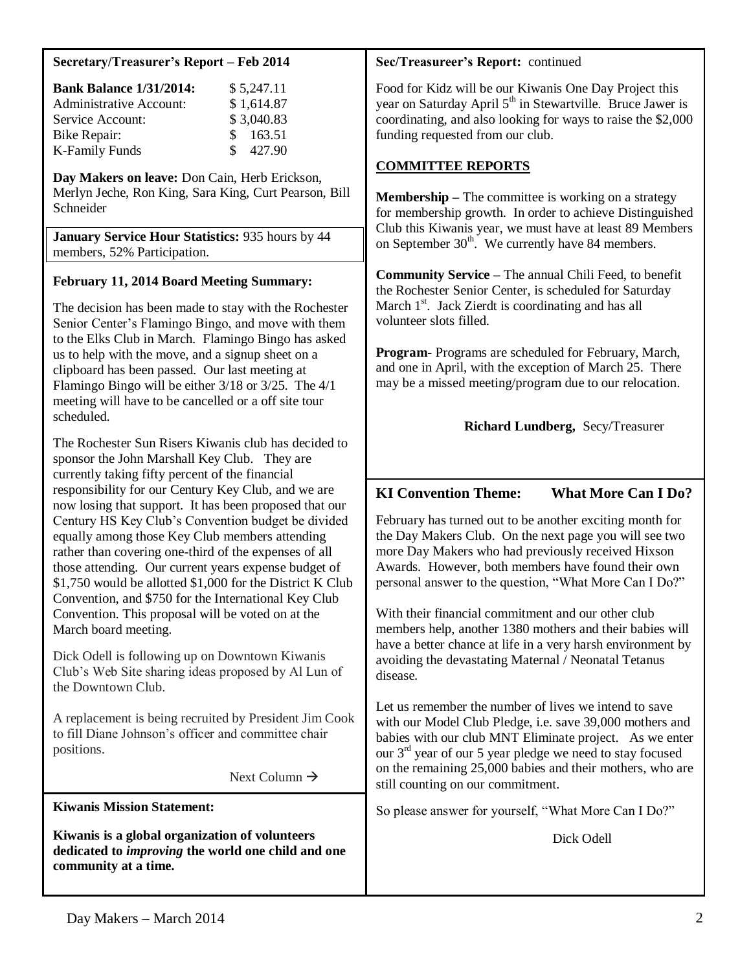### **Secretary/Treasurer's Report – Feb 2014**

| <b>Bank Balance 1/31/2014:</b> | \$5,247.11              |
|--------------------------------|-------------------------|
| <b>Administrative Account:</b> | \$1,614.87              |
| Service Account:               | \$3,040.83              |
| Bike Repair:                   | \$163.51                |
| <b>K-Family Funds</b>          | 427.90<br>$\mathcal{S}$ |

**Day Makers on leave:** Don Cain, Herb Erickson, Merlyn Jeche, Ron King, Sara King, Curt Pearson, Bill Schneider

**January Service Hour Statistics:** 935 hours by 44 members, 52% Participation.

## **February 11, 2014 Board Meeting Summary:**

The decision has been made to stay with the Rochester Senior Center's Flamingo Bingo, and move with them to the Elks Club in March. Flamingo Bingo has asked us to help with the move, and a signup sheet on a clipboard has been passed. Our last meeting at Flamingo Bingo will be either 3/18 or 3/25. The 4/1 meeting will have to be cancelled or a off site tour scheduled.

The Rochester Sun Risers Kiwanis club has decided to sponsor the John Marshall Key Club. They are currently taking fifty percent of the financial responsibility for our Century Key Club, and we are now losing that support. It has been proposed that our Century HS Key Club's Convention budget be divided equally among those Key Club members attending rather than covering one-third of the expenses of all those attending. Our current years expense budget of \$1,750 would be allotted \$1,000 for the District K Club Convention, and \$750 for the International Key Club Convention. This proposal will be voted on at the March board meeting.

Dick Odell is following up on Downtown Kiwanis Club's Web Site sharing ideas proposed by Al Lun of the Downtown Club.

A replacement is being recruited by President Jim Cook to fill Diane Johnson's officer and committee chair positions.

Next Column  $\rightarrow$ 

**Kiwanis Mission Statement:**

dedicated to *improving* the world one child and one **Kiwanis is a global organization of volunteers community at a time.**

## **Sec/Treasureer's Report:** continued

Food for Kidz will be our Kiwanis One Day Project this year on Saturday April 5<sup>th</sup> in Stewartville. Bruce Jawer is coordinating, and also looking for ways to raise the \$2,000 funding requested from our club.

## **COMMITTEE REPORTS**

**Membership –** The committee is working on a strategy for membership growth. In order to achieve Distinguished Club this Kiwanis year, we must have at least 89 Members on September  $30<sup>th</sup>$ . We currently have 84 members.

**Community Service –** The annual Chili Feed, to benefit the Rochester Senior Center, is scheduled for Saturday March  $1<sup>st</sup>$ . Jack Zierdt is coordinating and has all volunteer slots filled.

**Program-** Programs are scheduled for February, March, and one in April, with the exception of March 25. There may be a missed meeting/program due to our relocation.

# **Richard Lundberg,** Secy/Treasurer

# **KI Convention Theme: What More Can I Do?**

February has turned out to be another exciting month for the Day Makers Club. On the next page you will see two more Day Makers who had previously received Hixson Awards. However, both members have found their own personal answer to the question, "What More Can I Do?"

With their financial commitment and our other club members help, another 1380 mothers and their babies will have a better chance at life in a very harsh environment by avoiding the devastating Maternal / Neonatal Tetanus disease.

Let us remember the number of lives we intend to save with our Model Club Pledge, i.e. save 39,000 mothers and babies with our club MNT Eliminate project. As we enter our  $3<sup>rd</sup>$  year of our 5 year pledge we need to stay focused on the remaining 25,000 babies and their mothers, who are still counting on our commitment.

So please answer for yourself, "What More Can I Do?"

Dick Odell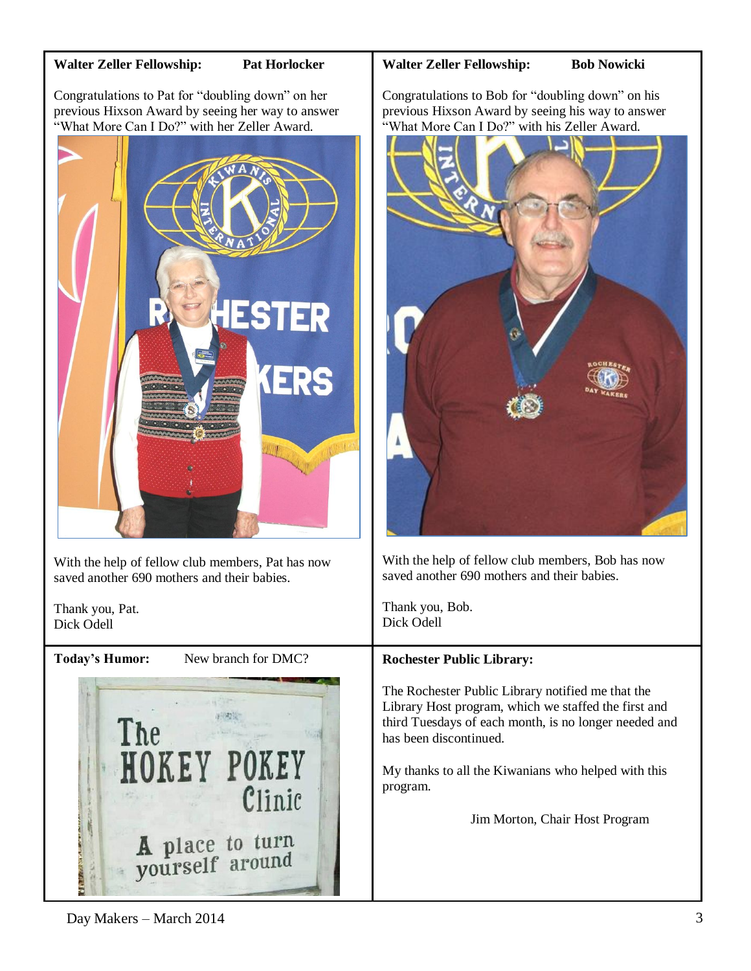### **Walter Zeller Fellowship: Pat Horlocker**

Congratulations to Pat for "doubling down" on her previous Hixson Award by seeing her way to answer "What More Can I Do?" with her Zeller Award.



With the help of fellow club members, Pat has now saved another 690 mothers and their babies.

Thank you, Pat. Dick Odell

# **Today's Humor:** New branch for DMC? **Rochester Public Library:**



## **Walter Zeller Fellowship: Bob Nowicki**

Congratulations to Bob for "doubling down" on his previous Hixson Award by seeing his way to answer "What More Can I Do?" with his Zeller Award.



With the help of fellow club members, Bob has now saved another 690 mothers and their babies.

Thank you, Bob. Dick Odell

The Rochester Public Library notified me that the Library Host program, which we staffed the first and third Tuesdays of each month, is no longer needed and has been discontinued.

My thanks to all the Kiwanians who helped with this program.

Jim Morton, Chair Host Program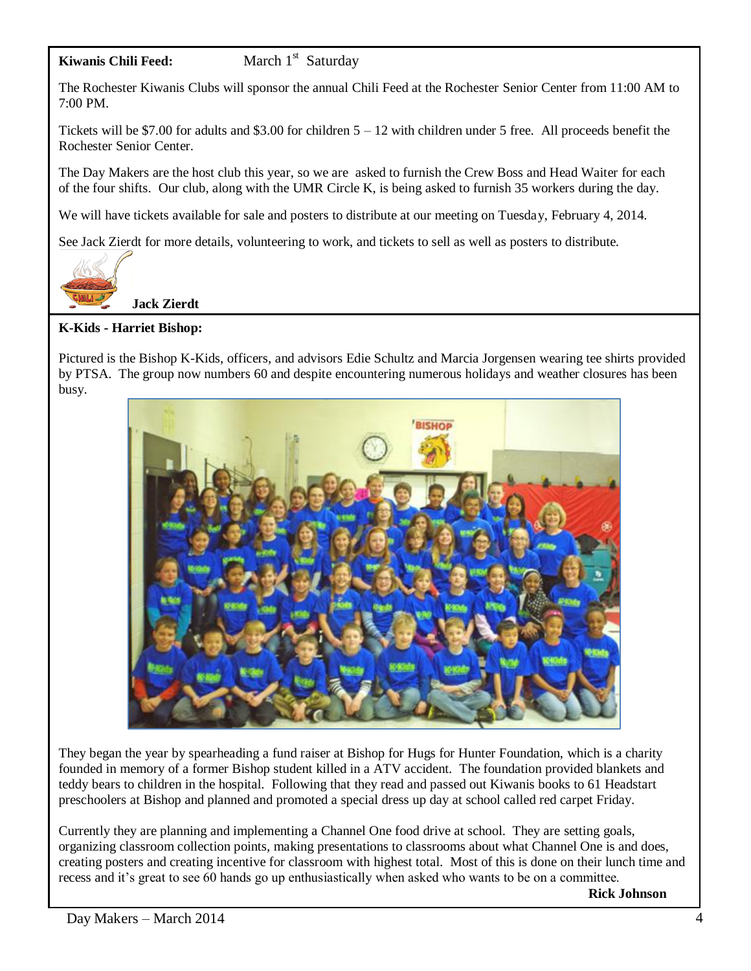### **Kiwanis Chili Feed:**

March 1<sup>st</sup> Saturday

The Rochester Kiwanis Clubs will sponsor the annual Chili Feed at the Rochester Senior Center from 11:00 AM to 7:00 PM.

Tickets will be \$7.00 for adults and \$3.00 for children  $5 - 12$  with children under 5 free. All proceeds benefit the Rochester Senior Center.

The Day Makers are the host club this year, so we are asked to furnish the Crew Boss and Head Waiter for each of the four shifts. Our club, along with the UMR Circle K, is being asked to furnish 35 workers during the day.

We will have tickets available for sale and posters to distribute at our meeting on Tuesday, February 4, 2014.

See Jack Zierdt for more details, volunteering to work, and tickets to sell as well as posters to distribute.

**Jack Zierdt**

### **K-Kids - Harriet Bishop:**

 Pictured is the Bishop K-Kids, officers, and advisors Edie Schultz and Marcia Jorgensen wearing tee shirts provided by PTSA. The group now numbers 60 and despite encountering numerous holidays and weather closures has been busy.



They began the year by spearheading a fund raiser at Bishop for Hugs for Hunter Foundation, which is a charity founded in memory of a former Bishop student killed in a ATV accident. The foundation provided blankets and teddy bears to children in the hospital. Following that they read and passed out Kiwanis books to 61 Headstart preschoolers at Bishop and planned and promoted a special dress up day at school called red carpet Friday.

Currently they are planning and implementing a Channel One food drive at school. They are setting goals, organizing classroom collection points, making presentations to classrooms about what Channel One is and does, creating posters and creating incentive for classroom with highest total. Most of this is done on their lunch time and recess and it's great to see 60 hands go up enthusiastically when asked who wants to be on a committee.

**Rick Johnson**